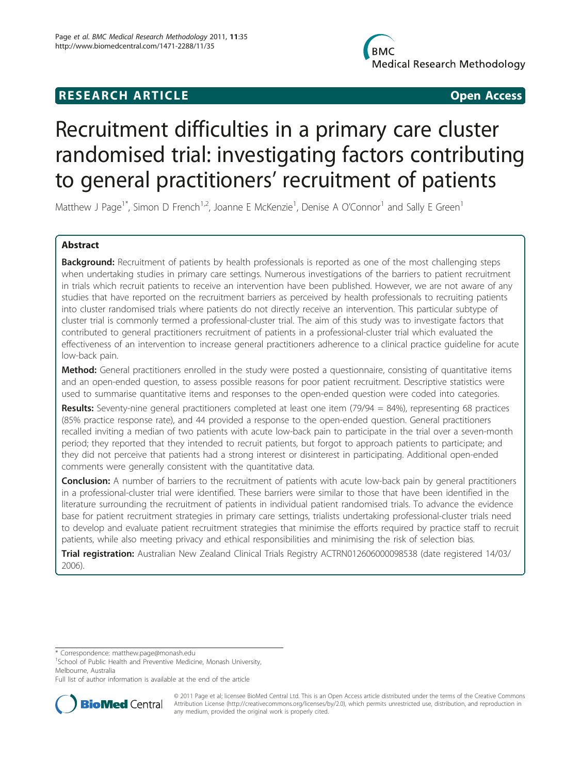# **RESEARCH ARTICLE Example 2018 12:00 Open Access**

**Medical Research Methodology** 

# Recruitment difficulties in a primary care cluster randomised trial: investigating factors contributing to general practitioners' recruitment of patients

Matthew J Page<sup>1\*</sup>, Simon D French<sup>1,2</sup>, Joanne E McKenzie<sup>1</sup>, Denise A O'Connor<sup>1</sup> and Sally E Green<sup>1</sup>

# Abstract

**Background:** Recruitment of patients by health professionals is reported as one of the most challenging steps when undertaking studies in primary care settings. Numerous investigations of the barriers to patient recruitment in trials which recruit patients to receive an intervention have been published. However, we are not aware of any studies that have reported on the recruitment barriers as perceived by health professionals to recruiting patients into cluster randomised trials where patients do not directly receive an intervention. This particular subtype of cluster trial is commonly termed a professional-cluster trial. The aim of this study was to investigate factors that contributed to general practitioners recruitment of patients in a professional-cluster trial which evaluated the effectiveness of an intervention to increase general practitioners adherence to a clinical practice guideline for acute low-back pain.

Method: General practitioners enrolled in the study were posted a questionnaire, consisting of quantitative items and an open-ended question, to assess possible reasons for poor patient recruitment. Descriptive statistics were used to summarise quantitative items and responses to the open-ended question were coded into categories.

Results: Seventy-nine general practitioners completed at least one item (79/94 = 84%), representing 68 practices (85% practice response rate), and 44 provided a response to the open-ended question. General practitioners recalled inviting a median of two patients with acute low-back pain to participate in the trial over a seven-month period; they reported that they intended to recruit patients, but forgot to approach patients to participate; and they did not perceive that patients had a strong interest or disinterest in participating. Additional open-ended comments were generally consistent with the quantitative data.

**Conclusion:** A number of barriers to the recruitment of patients with acute low-back pain by general practitioners in a professional-cluster trial were identified. These barriers were similar to those that have been identified in the literature surrounding the recruitment of patients in individual patient randomised trials. To advance the evidence base for patient recruitment strategies in primary care settings, trialists undertaking professional-cluster trials need to develop and evaluate patient recruitment strategies that minimise the efforts required by practice staff to recruit patients, while also meeting privacy and ethical responsibilities and minimising the risk of selection bias.

Trial registration: Australian New Zealand Clinical Trials Registry [ACTRN012606000098538](http://www.anzctr.org.au/ACTRN012606000098538.aspx) (date registered 14/03/ 2006).

\* Correspondence: [matthew.page@monash.edu](mailto:matthew.page@monash.edu)

<sup>1</sup>School of Public Health and Preventive Medicine, Monash University, Melbourne, Australia

Full list of author information is available at the end of the article



© 2011 Page et al; licensee BioMed Central Ltd. This is an Open Access article distributed under the terms of the Creative Commons Attribution License [\(http://creativecommons.org/licenses/by/2.0](http://creativecommons.org/licenses/by/2.0)), which permits unrestricted use, distribution, and reproduction in any medium, provided the original work is properly cited.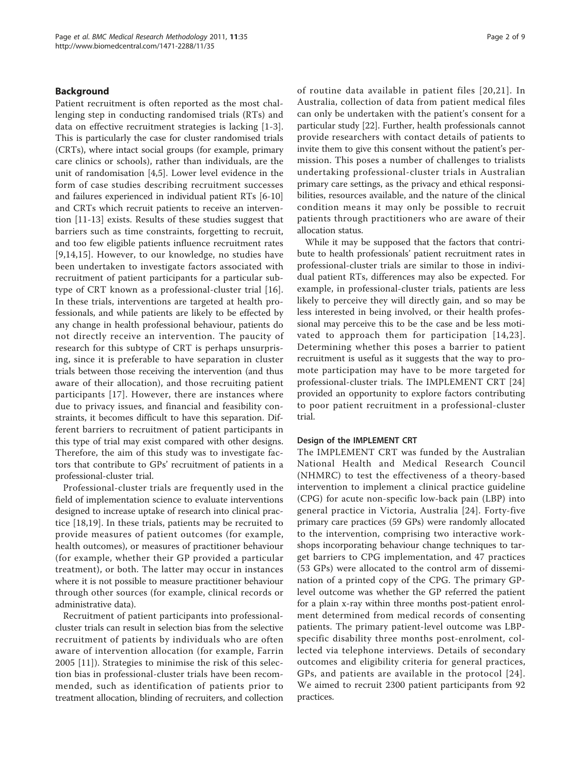# Background

Patient recruitment is often reported as the most challenging step in conducting randomised trials (RTs) and data on effective recruitment strategies is lacking [\[1](#page-7-0)-[3](#page-7-0)]. This is particularly the case for cluster randomised trials (CRTs), where intact social groups (for example, primary care clinics or schools), rather than individuals, are the unit of randomisation [[4,5\]](#page-7-0). Lower level evidence in the form of case studies describing recruitment successes and failures experienced in individual patient RTs [\[6](#page-7-0)-[10](#page-7-0)] and CRTs which recruit patients to receive an intervention [[11-13\]](#page-7-0) exists. Results of these studies suggest that barriers such as time constraints, forgetting to recruit, and too few eligible patients influence recruitment rates [[9,14,15](#page-7-0)]. However, to our knowledge, no studies have been undertaken to investigate factors associated with recruitment of patient participants for a particular subtype of CRT known as a professional-cluster trial [[16](#page-7-0)]. In these trials, interventions are targeted at health professionals, and while patients are likely to be effected by any change in health professional behaviour, patients do not directly receive an intervention. The paucity of research for this subtype of CRT is perhaps unsurprising, since it is preferable to have separation in cluster trials between those receiving the intervention (and thus aware of their allocation), and those recruiting patient participants [[17](#page-7-0)]. However, there are instances where due to privacy issues, and financial and feasibility constraints, it becomes difficult to have this separation. Different barriers to recruitment of patient participants in this type of trial may exist compared with other designs. Therefore, the aim of this study was to investigate factors that contribute to GPs' recruitment of patients in a professional-cluster trial.

Professional-cluster trials are frequently used in the field of implementation science to evaluate interventions designed to increase uptake of research into clinical practice [[18,19\]](#page-7-0). In these trials, patients may be recruited to provide measures of patient outcomes (for example, health outcomes), or measures of practitioner behaviour (for example, whether their GP provided a particular treatment), or both. The latter may occur in instances where it is not possible to measure practitioner behaviour through other sources (for example, clinical records or administrative data).

Recruitment of patient participants into professionalcluster trials can result in selection bias from the selective recruitment of patients by individuals who are often aware of intervention allocation (for example, Farrin 2005 [\[11](#page-7-0)]). Strategies to minimise the risk of this selection bias in professional-cluster trials have been recommended, such as identification of patients prior to treatment allocation, blinding of recruiters, and collection of routine data available in patient files [[20,21](#page-7-0)]. In Australia, collection of data from patient medical files can only be undertaken with the patient's consent for a particular study [\[22](#page-7-0)]. Further, health professionals cannot provide researchers with contact details of patients to invite them to give this consent without the patient's permission. This poses a number of challenges to trialists undertaking professional-cluster trials in Australian primary care settings, as the privacy and ethical responsibilities, resources available, and the nature of the clinical condition means it may only be possible to recruit patients through practitioners who are aware of their allocation status.

While it may be supposed that the factors that contribute to health professionals' patient recruitment rates in professional-cluster trials are similar to those in individual patient RTs, differences may also be expected. For example, in professional-cluster trials, patients are less likely to perceive they will directly gain, and so may be less interested in being involved, or their health professional may perceive this to be the case and be less motivated to approach them for participation [[14](#page-7-0),[23\]](#page-7-0). Determining whether this poses a barrier to patient recruitment is useful as it suggests that the way to promote participation may have to be more targeted for professional-cluster trials. The IMPLEMENT CRT [\[24](#page-7-0)] provided an opportunity to explore factors contributing to poor patient recruitment in a professional-cluster trial.

#### Design of the IMPLEMENT CRT

The IMPLEMENT CRT was funded by the Australian National Health and Medical Research Council (NHMRC) to test the effectiveness of a theory-based intervention to implement a clinical practice guideline (CPG) for acute non-specific low-back pain (LBP) into general practice in Victoria, Australia [[24](#page-7-0)]. Forty-five primary care practices (59 GPs) were randomly allocated to the intervention, comprising two interactive workshops incorporating behaviour change techniques to target barriers to CPG implementation, and 47 practices (53 GPs) were allocated to the control arm of dissemination of a printed copy of the CPG. The primary GPlevel outcome was whether the GP referred the patient for a plain x-ray within three months post-patient enrolment determined from medical records of consenting patients. The primary patient-level outcome was LBPspecific disability three months post-enrolment, collected via telephone interviews. Details of secondary outcomes and eligibility criteria for general practices, GPs, and patients are available in the protocol [[24\]](#page-7-0). We aimed to recruit 2300 patient participants from 92 practices.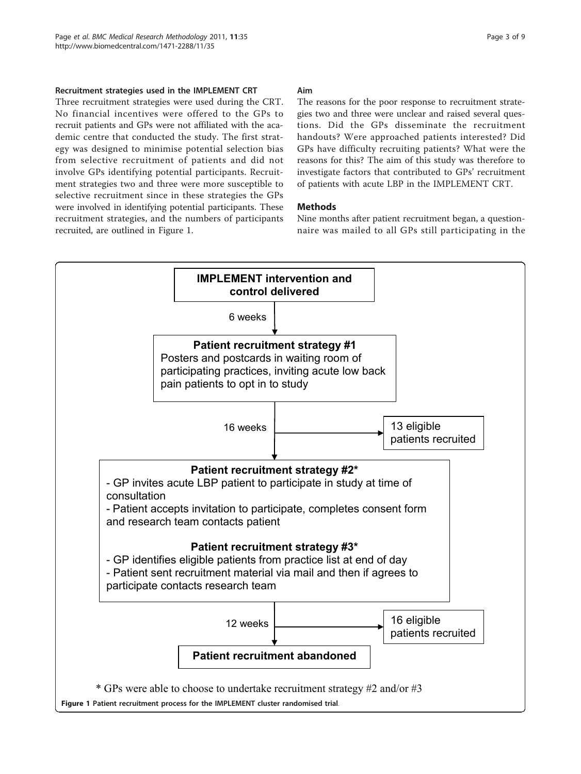# Recruitment strategies used in the IMPLEMENT CRT

Three recruitment strategies were used during the CRT. No financial incentives were offered to the GPs to recruit patients and GPs were not affiliated with the academic centre that conducted the study. The first strategy was designed to minimise potential selection bias from selective recruitment of patients and did not involve GPs identifying potential participants. Recruitment strategies two and three were more susceptible to selective recruitment since in these strategies the GPs were involved in identifying potential participants. These recruitment strategies, and the numbers of participants recruited, are outlined in Figure 1.

# Aim

The reasons for the poor response to recruitment strategies two and three were unclear and raised several questions. Did the GPs disseminate the recruitment handouts? Were approached patients interested? Did GPs have difficulty recruiting patients? What were the reasons for this? The aim of this study was therefore to investigate factors that contributed to GPs' recruitment of patients with acute LBP in the IMPLEMENT CRT.

# **Methods**

Nine months after patient recruitment began, a questionnaire was mailed to all GPs still participating in the

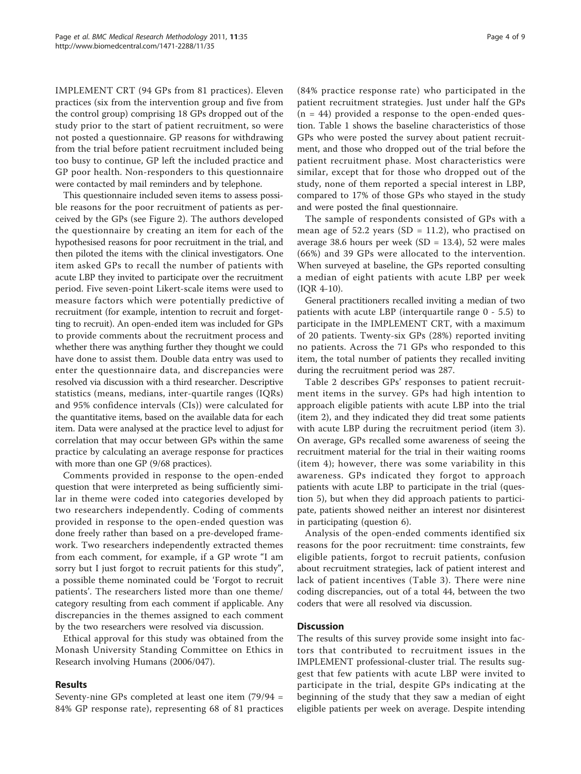IMPLEMENT CRT (94 GPs from 81 practices). Eleven practices (six from the intervention group and five from the control group) comprising 18 GPs dropped out of the study prior to the start of patient recruitment, so were not posted a questionnaire. GP reasons for withdrawing from the trial before patient recruitment included being too busy to continue, GP left the included practice and GP poor health. Non-responders to this questionnaire were contacted by mail reminders and by telephone.

This questionnaire included seven items to assess possible reasons for the poor recruitment of patients as perceived by the GPs (see Figure [2](#page-4-0)). The authors developed the questionnaire by creating an item for each of the hypothesised reasons for poor recruitment in the trial, and then piloted the items with the clinical investigators. One item asked GPs to recall the number of patients with acute LBP they invited to participate over the recruitment period. Five seven-point Likert-scale items were used to measure factors which were potentially predictive of recruitment (for example, intention to recruit and forgetting to recruit). An open-ended item was included for GPs to provide comments about the recruitment process and whether there was anything further they thought we could have done to assist them. Double data entry was used to enter the questionnaire data, and discrepancies were resolved via discussion with a third researcher. Descriptive statistics (means, medians, inter-quartile ranges (IQRs) and 95% confidence intervals (CIs)) were calculated for the quantitative items, based on the available data for each item. Data were analysed at the practice level to adjust for correlation that may occur between GPs within the same practice by calculating an average response for practices with more than one GP (9/68 practices).

Comments provided in response to the open-ended question that were interpreted as being sufficiently similar in theme were coded into categories developed by two researchers independently. Coding of comments provided in response to the open-ended question was done freely rather than based on a pre-developed framework. Two researchers independently extracted themes from each comment, for example, if a GP wrote "I am sorry but I just forgot to recruit patients for this study", a possible theme nominated could be 'Forgot to recruit patients'. The researchers listed more than one theme/ category resulting from each comment if applicable. Any discrepancies in the themes assigned to each comment by the two researchers were resolved via discussion.

Ethical approval for this study was obtained from the Monash University Standing Committee on Ethics in Research involving Humans (2006/047).

### Results

Seventy-nine GPs completed at least one item (79/94 = 84% GP response rate), representing 68 of 81 practices

(84% practice response rate) who participated in the patient recruitment strategies. Just under half the GPs  $(n = 44)$  provided a response to the open-ended question. Table [1](#page-5-0) shows the baseline characteristics of those GPs who were posted the survey about patient recruitment, and those who dropped out of the trial before the patient recruitment phase. Most characteristics were similar, except that for those who dropped out of the study, none of them reported a special interest in LBP, compared to 17% of those GPs who stayed in the study and were posted the final questionnaire.

The sample of respondents consisted of GPs with a mean age of 52.2 years (SD = 11.2), who practised on average 38.6 hours per week  $(SD = 13.4)$ , 52 were males (66%) and 39 GPs were allocated to the intervention. When surveyed at baseline, the GPs reported consulting a median of eight patients with acute LBP per week (IQR 4-10).

General practitioners recalled inviting a median of two patients with acute LBP (interquartile range 0 - 5.5) to participate in the IMPLEMENT CRT, with a maximum of 20 patients. Twenty-six GPs (28%) reported inviting no patients. Across the 71 GPs who responded to this item, the total number of patients they recalled inviting during the recruitment period was 287.

Table [2](#page-5-0) describes GPs' responses to patient recruitment items in the survey. GPs had high intention to approach eligible patients with acute LBP into the trial (item 2), and they indicated they did treat some patients with acute LBP during the recruitment period (item 3). On average, GPs recalled some awareness of seeing the recruitment material for the trial in their waiting rooms (item 4); however, there was some variability in this awareness. GPs indicated they forgot to approach patients with acute LBP to participate in the trial (question 5), but when they did approach patients to participate, patients showed neither an interest nor disinterest in participating (question 6).

Analysis of the open-ended comments identified six reasons for the poor recruitment: time constraints, few eligible patients, forgot to recruit patients, confusion about recruitment strategies, lack of patient interest and lack of patient incentives (Table [3\)](#page-6-0). There were nine coding discrepancies, out of a total 44, between the two coders that were all resolved via discussion.

### **Discussion**

The results of this survey provide some insight into factors that contributed to recruitment issues in the IMPLEMENT professional-cluster trial. The results suggest that few patients with acute LBP were invited to participate in the trial, despite GPs indicating at the beginning of the study that they saw a median of eight eligible patients per week on average. Despite intending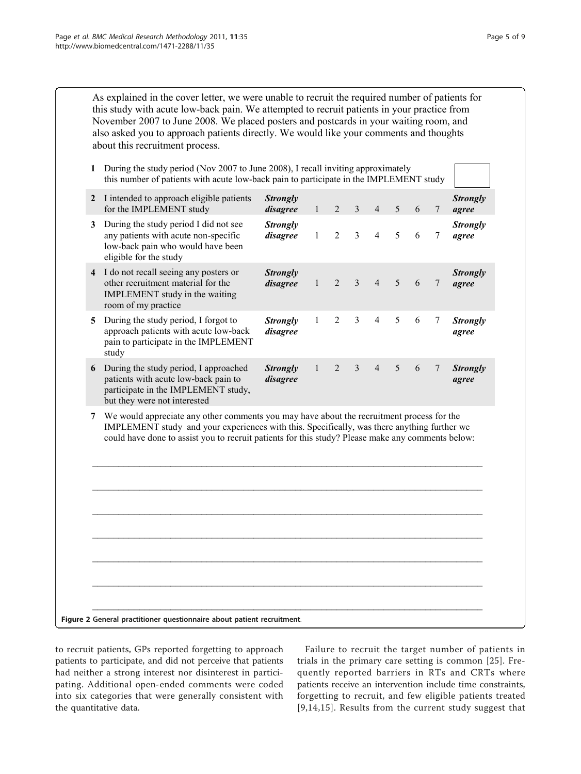<span id="page-4-0"></span>As explained in the cover letter, we were unable to recruit the required number of patients for this study with acute low-back pain. We attempted to recruit patients in your practice from November 2007 to June 2008. We placed posters and postcards in your waiting room, and also asked you to approach patients directly. We would like your comments and thoughts about this recruitment process.

**1** During the study period (Nov 2007 to June 2008), I recall inviting approximately this number of patients with acute low-back pain to participate in the IMPLEMENT study

| 2              | I intended to approach eligible patients<br>for the IMPLEMENT study                                                                                  | <i><b>Strongly</b></i><br>disagree | 1 | $\mathfrak{D}$              | $\mathcal{E}$             | $\overline{4}$ | $\overline{5}$ | 6 | $\overline{7}$ | <b>Strongly</b><br>agree |
|----------------|------------------------------------------------------------------------------------------------------------------------------------------------------|------------------------------------|---|-----------------------------|---------------------------|----------------|----------------|---|----------------|--------------------------|
| 3              | During the study period I did not see<br>any patients with acute non-specific<br>low-back pain who would have been<br>eligible for the study         | <b>Strongly</b><br>disagree        | 1 | $\mathfrak{D}$              | $\mathcal{E}$             | $\overline{4}$ | 5              | 6 | 7              | <b>Strongly</b><br>agree |
| $\overline{4}$ | I do not recall seeing any posters or<br>other recruitment material for the<br>IMPLEMENT study in the waiting<br>room of my practice                 | <b>Strongly</b><br>disagree        | 1 | $\mathcal{D}_{\mathcal{L}}$ | $\overline{\phantom{a}3}$ | $\overline{4}$ | $\overline{5}$ | 6 | 7              | <b>Strongly</b><br>agree |
| 5              | During the study period, I forgot to<br>approach patients with acute low-back<br>pain to participate in the IMPLEMENT<br>study                       | <i>Strongly</i><br>disagree        | 1 | $2 \quad 3$                 |                           | $\overline{4}$ | 5              | 6 | 7              | <b>Strongly</b><br>agree |
| 6              | During the study period, I approached<br>patients with acute low-back pain to<br>participate in the IMPLEMENT study,<br>but they were not interested | <i><b>Strongly</b></i><br>disagree | 1 | 2                           | 3                         | $\overline{4}$ | 5              | 6 | 7              | <b>Strongly</b><br>agree |

**7** We would appreciate any other comments you may have about the recruitment process for the IMPLEMENT study and your experiences with this. Specifically, was there anything further we

 $\mathcal{L}_\mathcal{L} = \mathcal{L}_\mathcal{L} = \mathcal{L}_\mathcal{L} = \mathcal{L}_\mathcal{L} = \mathcal{L}_\mathcal{L} = \mathcal{L}_\mathcal{L} = \mathcal{L}_\mathcal{L} = \mathcal{L}_\mathcal{L} = \mathcal{L}_\mathcal{L} = \mathcal{L}_\mathcal{L} = \mathcal{L}_\mathcal{L} = \mathcal{L}_\mathcal{L} = \mathcal{L}_\mathcal{L} = \mathcal{L}_\mathcal{L} = \mathcal{L}_\mathcal{L} = \mathcal{L}_\mathcal{L} = \mathcal{L}_\mathcal{L}$ 

 $\_$  , and the set of the set of the set of the set of the set of the set of the set of the set of the set of the set of the set of the set of the set of the set of the set of the set of the set of the set of the set of th

 $\mathcal{L}_\text{max} = \mathcal{L}_\text{max} = \mathcal{L}_\text{max} = \mathcal{L}_\text{max} = \mathcal{L}_\text{max} = \mathcal{L}_\text{max} = \mathcal{L}_\text{max} = \mathcal{L}_\text{max} = \mathcal{L}_\text{max} = \mathcal{L}_\text{max} = \mathcal{L}_\text{max} = \mathcal{L}_\text{max} = \mathcal{L}_\text{max} = \mathcal{L}_\text{max} = \mathcal{L}_\text{max} = \mathcal{L}_\text{max} = \mathcal{L}_\text{max} = \mathcal{L}_\text{max} = \mathcal{$ 

 $\mathcal{L}_\mathcal{L} = \mathcal{L}_\mathcal{L} = \mathcal{L}_\mathcal{L} = \mathcal{L}_\mathcal{L} = \mathcal{L}_\mathcal{L} = \mathcal{L}_\mathcal{L} = \mathcal{L}_\mathcal{L} = \mathcal{L}_\mathcal{L} = \mathcal{L}_\mathcal{L} = \mathcal{L}_\mathcal{L} = \mathcal{L}_\mathcal{L} = \mathcal{L}_\mathcal{L} = \mathcal{L}_\mathcal{L} = \mathcal{L}_\mathcal{L} = \mathcal{L}_\mathcal{L} = \mathcal{L}_\mathcal{L} = \mathcal{L}_\mathcal{L}$ 

 $\mathcal{L}_\text{max} = \mathcal{L}_\text{max} = \mathcal{L}_\text{max} = \mathcal{L}_\text{max} = \mathcal{L}_\text{max} = \mathcal{L}_\text{max} = \mathcal{L}_\text{max} = \mathcal{L}_\text{max} = \mathcal{L}_\text{max} = \mathcal{L}_\text{max} = \mathcal{L}_\text{max} = \mathcal{L}_\text{max} = \mathcal{L}_\text{max} = \mathcal{L}_\text{max} = \mathcal{L}_\text{max} = \mathcal{L}_\text{max} = \mathcal{L}_\text{max} = \mathcal{L}_\text{max} = \mathcal{$ 

 $\mathcal{L}_\mathcal{L} = \mathcal{L}_\mathcal{L} = \mathcal{L}_\mathcal{L} = \mathcal{L}_\mathcal{L} = \mathcal{L}_\mathcal{L} = \mathcal{L}_\mathcal{L} = \mathcal{L}_\mathcal{L} = \mathcal{L}_\mathcal{L} = \mathcal{L}_\mathcal{L} = \mathcal{L}_\mathcal{L} = \mathcal{L}_\mathcal{L} = \mathcal{L}_\mathcal{L} = \mathcal{L}_\mathcal{L} = \mathcal{L}_\mathcal{L} = \mathcal{L}_\mathcal{L} = \mathcal{L}_\mathcal{L} = \mathcal{L}_\mathcal{L}$ 

 $\mathcal{L}_\text{max} = \mathcal{L}_\text{max} = \mathcal{L}_\text{max} = \mathcal{L}_\text{max} = \mathcal{L}_\text{max} = \mathcal{L}_\text{max} = \mathcal{L}_\text{max} = \mathcal{L}_\text{max} = \mathcal{L}_\text{max} = \mathcal{L}_\text{max} = \mathcal{L}_\text{max} = \mathcal{L}_\text{max} = \mathcal{L}_\text{max} = \mathcal{L}_\text{max} = \mathcal{L}_\text{max} = \mathcal{L}_\text{max} = \mathcal{L}_\text{max} = \mathcal{L}_\text{max} = \mathcal{$ 

could have done to assist you to recruit patients for this study? Please make any comments below:

Figure 2 General practitioner questionnaire about patient recruitment.

to recruit patients, GPs reported forgetting to approach patients to participate, and did not perceive that patients had neither a strong interest nor disinterest in participating. Additional open-ended comments were coded into six categories that were generally consistent with the quantitative data.

Failure to recruit the target number of patients in trials in the primary care setting is common [[25](#page-7-0)]. Frequently reported barriers in RTs and CRTs where patients receive an intervention include time constraints, forgetting to recruit, and few eligible patients treated [[9](#page-7-0),[14,15\]](#page-7-0). Results from the current study suggest that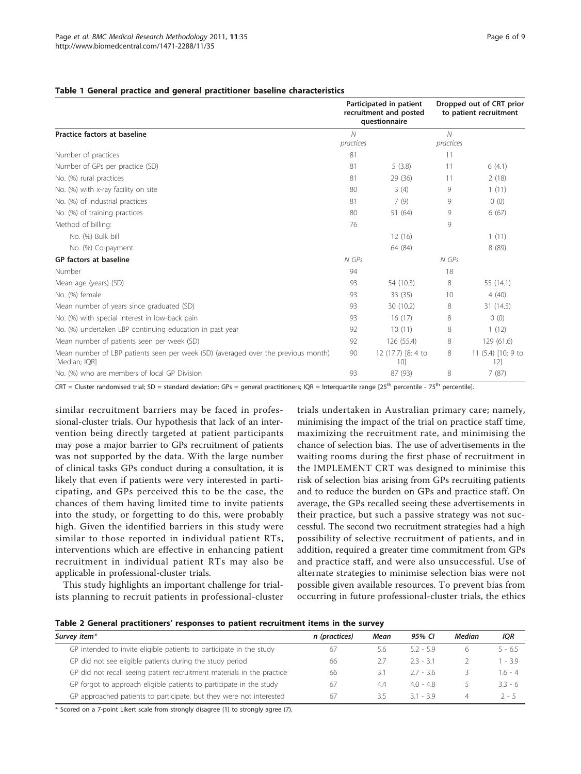#### <span id="page-5-0"></span>Table 1 General practice and general practitioner baseline characteristics

|                                                                                                    |                | Participated in patient<br>recruitment and posted<br>questionnaire | Dropped out of CRT prior<br>to patient recruitment |                           |  |
|----------------------------------------------------------------------------------------------------|----------------|--------------------------------------------------------------------|----------------------------------------------------|---------------------------|--|
| Practice factors at baseline                                                                       | N<br>practices |                                                                    | $\mathcal N$<br>practices                          |                           |  |
| Number of practices                                                                                | 81             |                                                                    | 11                                                 |                           |  |
| Number of GPs per practice (SD)                                                                    | 81             | 5(3.8)                                                             | 11                                                 | 6(4.1)                    |  |
| No. (%) rural practices                                                                            | 81             | 29(36)                                                             | 11                                                 | 2(18)                     |  |
| No. (%) with x-ray facility on site                                                                | 80             | 3(4)                                                               | 9                                                  | 1(11)                     |  |
| No. (%) of industrial practices                                                                    | 81             | 7(9)                                                               | 9                                                  | 0(0)                      |  |
| No. (%) of training practices                                                                      | 80             | 51 (64)                                                            | 9                                                  | 6(67)                     |  |
| Method of billing:                                                                                 | 76             |                                                                    | 9                                                  |                           |  |
| No. (%) Bulk bill                                                                                  |                | 12(16)                                                             |                                                    | 1(11)                     |  |
| No. (%) Co-payment                                                                                 |                | 64 (84)                                                            |                                                    | 8(89)                     |  |
| GP factors at baseline                                                                             |                |                                                                    | N GPs                                              |                           |  |
| Number                                                                                             | 94             |                                                                    | 18                                                 |                           |  |
| Mean age (years) (SD)                                                                              | 93             | 54 (10.3)                                                          | 8                                                  | 55 (14.1)                 |  |
| No. (%) female                                                                                     | 93             | 33 (35)                                                            | 10                                                 | 4(40)                     |  |
| Mean number of years since graduated (SD)                                                          | 93             | 30 (10.2)                                                          | 8                                                  | 31 (14.5)                 |  |
| No. (%) with special interest in low-back pain                                                     | 93             | 16(17)                                                             | 8                                                  | 0(0)                      |  |
| No. (%) undertaken LBP continuing education in past year                                           | 92             | 10(11)                                                             | 8                                                  | 1(12)                     |  |
| Mean number of patients seen per week (SD)                                                         | 92             | 126 (55.4)                                                         | 8                                                  | 129 (61.6)                |  |
| Mean number of LBP patients seen per week (SD) (averaged over the previous month)<br>[Median; IQR] | 90             | 12 (17.7) [8; 4 to<br>10]                                          | 8                                                  | 11 (5.4) [10; 9 to<br>12] |  |
| No. (%) who are members of local GP Division                                                       | 93             | 87 (93)                                                            | 8                                                  | 7(87)                     |  |

CRT = Cluster randomised trial; SD = standard deviation; GPs = general practitioners; IQR = Interquartile range [25<sup>th</sup> percentile - 75<sup>th</sup> percentile].

similar recruitment barriers may be faced in professional-cluster trials. Our hypothesis that lack of an intervention being directly targeted at patient participants may pose a major barrier to GPs recruitment of patients was not supported by the data. With the large number of clinical tasks GPs conduct during a consultation, it is likely that even if patients were very interested in participating, and GPs perceived this to be the case, the chances of them having limited time to invite patients into the study, or forgetting to do this, were probably high. Given the identified barriers in this study were similar to those reported in individual patient RTs, interventions which are effective in enhancing patient recruitment in individual patient RTs may also be applicable in professional-cluster trials.

This study highlights an important challenge for trialists planning to recruit patients in professional-cluster

trials undertaken in Australian primary care; namely, minimising the impact of the trial on practice staff time, maximizing the recruitment rate, and minimising the chance of selection bias. The use of advertisements in the waiting rooms during the first phase of recruitment in the IMPLEMENT CRT was designed to minimise this risk of selection bias arising from GPs recruiting patients and to reduce the burden on GPs and practice staff. On average, the GPs recalled seeing these advertisements in their practice, but such a passive strategy was not successful. The second two recruitment strategies had a high possibility of selective recruitment of patients, and in addition, required a greater time commitment from GPs and practice staff, and were also unsuccessful. Use of alternate strategies to minimise selection bias were not possible given available resources. To prevent bias from occurring in future professional-cluster trials, the ethics

| Table 2 General practitioners' responses to patient recruitment items in the survey |  |  |  |  |  |
|-------------------------------------------------------------------------------------|--|--|--|--|--|
|-------------------------------------------------------------------------------------|--|--|--|--|--|

| Mean | 95% CI    | Median       | IQR       |
|------|-----------|--------------|-----------|
| 5.6  | 52-59     | <sub>b</sub> | $5 - 6.5$ |
| 27   | $23 - 31$ |              | $-39$     |
| .3.T | $27 - 36$ |              | 1.6 - 4   |
| 4.4  | $40 - 48$ |              | $3.3 - 6$ |
| 3.5  | $31 - 39$ | 4            | $2 - 5$   |
|      |           |              |           |

\* Scored on a 7-point Likert scale from strongly disagree (1) to strongly agree (7).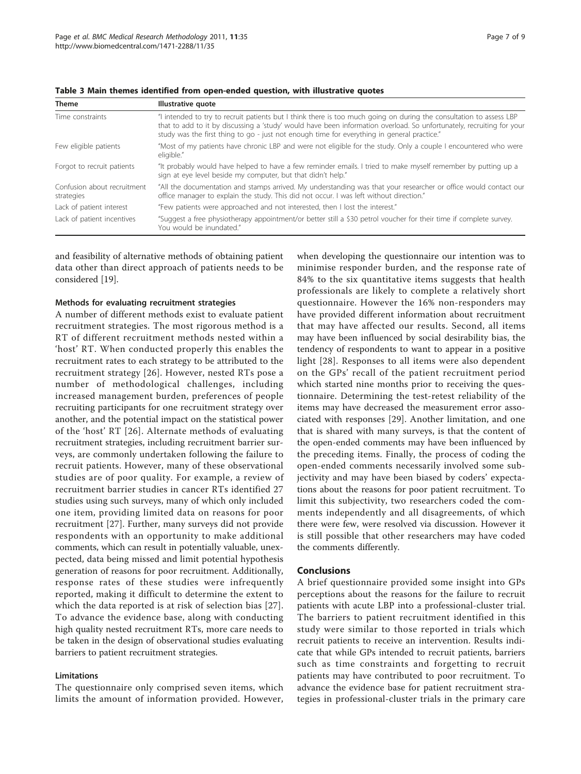| <b>Theme</b>                              | Illustrative quote                                                                                                                                                                                                                                                                                                                          |  |  |  |  |  |  |
|-------------------------------------------|---------------------------------------------------------------------------------------------------------------------------------------------------------------------------------------------------------------------------------------------------------------------------------------------------------------------------------------------|--|--|--|--|--|--|
| Time constraints                          | "I intended to try to recruit patients but I think there is too much going on during the consultation to assess LBP<br>that to add to it by discussing a 'study' would have been information overload. So unfortunately, recruiting for your<br>study was the first thing to go - just not enough time for everything in general practice." |  |  |  |  |  |  |
| Few eligible patients                     | "Most of my patients have chronic LBP and were not eligible for the study. Only a couple I encountered who were<br>eligible."                                                                                                                                                                                                               |  |  |  |  |  |  |
| Forgot to recruit patients                | "It probably would have helped to have a few reminder emails. I tried to make myself remember by putting up a<br>sign at eye level beside my computer, but that didn't help."                                                                                                                                                               |  |  |  |  |  |  |
| Confusion about recruitment<br>strategies | "All the documentation and stamps arrived. My understanding was that your researcher or office would contact our<br>office manager to explain the study. This did not occur. I was left without direction."                                                                                                                                 |  |  |  |  |  |  |
| Lack of patient interest                  | "Few patients were approached and not interested, then I lost the interest."                                                                                                                                                                                                                                                                |  |  |  |  |  |  |
| Lack of patient incentives                | "Suggest a free physiotherapy appointment/or better still a \$30 petrol voucher for their time if complete survey.<br>You would be inundated."                                                                                                                                                                                              |  |  |  |  |  |  |

<span id="page-6-0"></span>Table 3 Main themes identified from open-ended question, with illustrative quotes

and feasibility of alternative methods of obtaining patient data other than direct approach of patients needs to be considered [[19](#page-7-0)].

#### Methods for evaluating recruitment strategies

A number of different methods exist to evaluate patient recruitment strategies. The most rigorous method is a RT of different recruitment methods nested within a 'host' RT. When conducted properly this enables the recruitment rates to each strategy to be attributed to the recruitment strategy [\[26\]](#page-7-0). However, nested RTs pose a number of methodological challenges, including increased management burden, preferences of people recruiting participants for one recruitment strategy over another, and the potential impact on the statistical power of the 'host' RT [[26\]](#page-7-0). Alternate methods of evaluating recruitment strategies, including recruitment barrier surveys, are commonly undertaken following the failure to recruit patients. However, many of these observational studies are of poor quality. For example, a review of recruitment barrier studies in cancer RTs identified 27 studies using such surveys, many of which only included one item, providing limited data on reasons for poor recruitment [\[27](#page-8-0)]. Further, many surveys did not provide respondents with an opportunity to make additional comments, which can result in potentially valuable, unexpected, data being missed and limit potential hypothesis generation of reasons for poor recruitment. Additionally, response rates of these studies were infrequently reported, making it difficult to determine the extent to which the data reported is at risk of selection bias [[27](#page-8-0)]. To advance the evidence base, along with conducting high quality nested recruitment RTs, more care needs to be taken in the design of observational studies evaluating barriers to patient recruitment strategies.

# Limitations

The questionnaire only comprised seven items, which limits the amount of information provided. However, when developing the questionnaire our intention was to minimise responder burden, and the response rate of 84% to the six quantitative items suggests that health professionals are likely to complete a relatively short questionnaire. However the 16% non-responders may have provided different information about recruitment that may have affected our results. Second, all items may have been influenced by social desirability bias, the tendency of respondents to want to appear in a positive light [[28](#page-8-0)]. Responses to all items were also dependent on the GPs' recall of the patient recruitment period which started nine months prior to receiving the questionnaire. Determining the test-retest reliability of the items may have decreased the measurement error associated with responses [[29\]](#page-8-0). Another limitation, and one that is shared with many surveys, is that the content of the open-ended comments may have been influenced by the preceding items. Finally, the process of coding the open-ended comments necessarily involved some subjectivity and may have been biased by coders' expectations about the reasons for poor patient recruitment. To limit this subjectivity, two researchers coded the comments independently and all disagreements, of which there were few, were resolved via discussion. However it is still possible that other researchers may have coded the comments differently.

#### Conclusions

A brief questionnaire provided some insight into GPs perceptions about the reasons for the failure to recruit patients with acute LBP into a professional-cluster trial. The barriers to patient recruitment identified in this study were similar to those reported in trials which recruit patients to receive an intervention. Results indicate that while GPs intended to recruit patients, barriers such as time constraints and forgetting to recruit patients may have contributed to poor recruitment. To advance the evidence base for patient recruitment strategies in professional-cluster trials in the primary care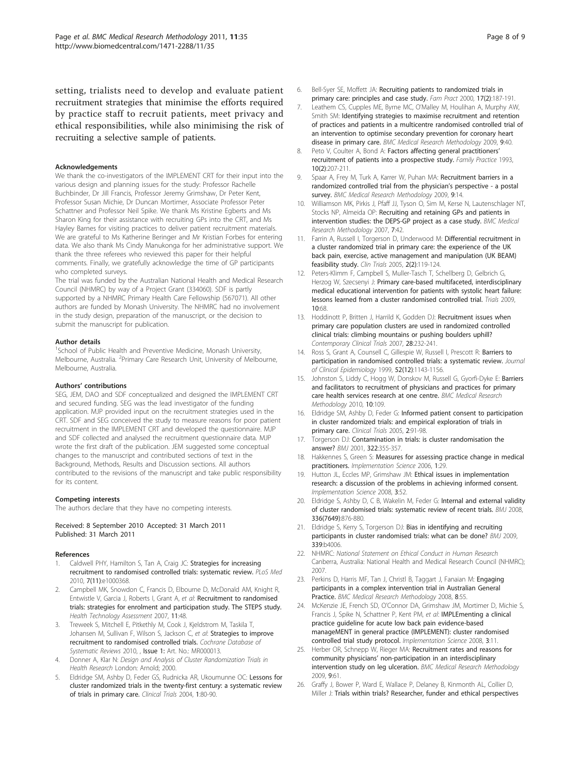<span id="page-7-0"></span>setting, trialists need to develop and evaluate patient recruitment strategies that minimise the efforts required by practice staff to recruit patients, meet privacy and ethical responsibilities, while also minimising the risk of recruiting a selective sample of patients.

#### Acknowledgements

We thank the co-investigators of the IMPLEMENT CRT for their input into the various design and planning issues for the study: Professor Rachelle Buchbinder, Dr Jill Francis, Professor Jeremy Grimshaw, Dr Peter Kent, Professor Susan Michie, Dr Duncan Mortimer, Associate Professor Peter Schattner and Professor Neil Spike. We thank Ms Kristine Egberts and Ms Sharon King for their assistance with recruiting GPs into the CRT, and Ms Hayley Barnes for visiting practices to deliver patient recruitment materials. We are grateful to Ms Katherine Beringer and Mr Kristian Forbes for entering data. We also thank Ms Cindy Manukonga for her administrative support. We thank the three referees who reviewed this paper for their helpful comments. Finally, we gratefully acknowledge the time of GP participants who completed surveys.

The trial was funded by the Australian National Health and Medical Research Council (NHMRC) by way of a Project Grant (334060). SDF is partly supported by a NHMRC Primary Health Care Fellowship (567071). All other authors are funded by Monash University. The NHMRC had no involvement in the study design, preparation of the manuscript, or the decision to submit the manuscript for publication.

#### Author details

<sup>1</sup>School of Public Health and Preventive Medicine, Monash University, Melbourne, Australia. <sup>2</sup>Primary Care Research Unit, University of Melbourne, Melbourne, Australia.

#### Authors' contributions

SEG, JEM, DAO and SDF conceptualized and designed the IMPLEMENT CRT and secured funding. SEG was the lead investigator of the funding application. MJP provided input on the recruitment strategies used in the CRT. SDF and SEG conceived the study to measure reasons for poor patient recruitment in the IMPLEMENT CRT and developed the questionnaire. MJP and SDF collected and analysed the recruitment questionnaire data. MJP wrote the first draft of the publication. JEM suggested some conceptual changes to the manuscript and contributed sections of text in the Background, Methods, Results and Discussion sections. All authors contributed to the revisions of the manuscript and take public responsibility for its content.

#### Competing interests

The authors declare that they have no competing interests.

Received: 8 September 2010 Accepted: 31 March 2011 Published: 31 March 2011

#### References

- 1. Caldwell PHY, Hamilton S, Tan A, Craig JC: [Strategies for increasing](http://www.ncbi.nlm.nih.gov/pubmed/21085696?dopt=Abstract) [recruitment to randomised controlled trials: systematic review.](http://www.ncbi.nlm.nih.gov/pubmed/21085696?dopt=Abstract) PLoS Med 2010, 7(11):e1000368.
- 2. Campbell MK, Snowdon C, Francis D, Elbourne D, McDonald AM, Knight R, Entwistle V, Garcia J, Roberts I, Grant A, et al: Recruitment to randomised trials: strategies for enrolment and participation study. The STEPS study. Health Technology Assessment 2007, 11:48.
- Treweek S, Mitchell E, Pitkethly M, Cook J, Kjeldstrom M, Taskila T, Johansen M, Sullivan F, Wilson S, Jackson C, et al: Strategies to improve recruitment to randomised controlled trials. Cochrane Database of Systematic Reviews 2010, , Issue 1: Art. No.: MR000013.
- 4. Donner A, Klar N: Design and Analysis of Cluster Randomization Trials in Health Research London: Arnold; 2000.
- 5. Eldridge SM, Ashby D, Feder GS, Rudnicka AR, Ukoumunne OC: [Lessons for](http://www.ncbi.nlm.nih.gov/pubmed/16281464?dopt=Abstract) [cluster randomized trials in the twenty-first century: a systematic review](http://www.ncbi.nlm.nih.gov/pubmed/16281464?dopt=Abstract) [of trials in primary care.](http://www.ncbi.nlm.nih.gov/pubmed/16281464?dopt=Abstract) Clinical Trials 2004, 1:80-90.
- 6. Bell-Syer SE, Moffett JA: [Recruiting patients to randomized trials in](http://www.ncbi.nlm.nih.gov/pubmed/10758084?dopt=Abstract) [primary care: principles and case study.](http://www.ncbi.nlm.nih.gov/pubmed/10758084?dopt=Abstract) Fam Pract 2000, 17(2):187-191.
- 7. Leathem CS, Cupples ME, Byrne MC, O'Malley M, Houlihan A, Murphy AW, Smith SM: [Identifying strategies to maximise recruitment and retention](http://www.ncbi.nlm.nih.gov/pubmed/19545366?dopt=Abstract) [of practices and patients in a multicentre randomised controlled trial of](http://www.ncbi.nlm.nih.gov/pubmed/19545366?dopt=Abstract) [an intervention to optimise secondary prevention for coronary heart](http://www.ncbi.nlm.nih.gov/pubmed/19545366?dopt=Abstract) [disease in primary care.](http://www.ncbi.nlm.nih.gov/pubmed/19545366?dopt=Abstract) BMC Medical Research Methodology 2009, 9:40.
- 8. Peto V, Coulter A, Bond A: [Factors affecting general practitioners](http://www.ncbi.nlm.nih.gov/pubmed/8359613?dopt=Abstract)' [recruitment of patients into a prospective study.](http://www.ncbi.nlm.nih.gov/pubmed/8359613?dopt=Abstract) Family Practice 1993, 10(2):207-211.
- 9. Spaar A, Frey M, Turk A, Karrer W, Puhan MA: [Recruitment barriers in a](http://www.ncbi.nlm.nih.gov/pubmed/19254374?dopt=Abstract) [randomized controlled trial from the physician](http://www.ncbi.nlm.nih.gov/pubmed/19254374?dopt=Abstract)'s perspective - a postal [survey.](http://www.ncbi.nlm.nih.gov/pubmed/19254374?dopt=Abstract) BMC Medical Research Methodology 2009, 9:14.
- 10. Williamson MK, Pirkis J, Pfaff JJ, Tyson O, Sim M, Kerse N, Lautenschlager NT, Stocks NP, Almeida OP: [Recruiting and retaining GPs and patients in](http://www.ncbi.nlm.nih.gov/pubmed/17875219?dopt=Abstract) [intervention studies: the DEPS-GP project as a case study.](http://www.ncbi.nlm.nih.gov/pubmed/17875219?dopt=Abstract) BMC Medical Research Methodology 2007, 7:42.
- 11. Farrin A, Russell I, Torgerson D, Underwood M: [Differential recruitment in](http://www.ncbi.nlm.nih.gov/pubmed/16279133?dopt=Abstract) [a cluster randomized trial in primary care: the experience of the UK](http://www.ncbi.nlm.nih.gov/pubmed/16279133?dopt=Abstract) [back pain, exercise, active management and manipulation \(UK BEAM\)](http://www.ncbi.nlm.nih.gov/pubmed/16279133?dopt=Abstract) [feasibility study.](http://www.ncbi.nlm.nih.gov/pubmed/16279133?dopt=Abstract) Clin Trials 2005, 2(2):119-124.
- 12. Peters-Klimm F, Campbell S, Muller-Tasch T, Schellberg D, Gelbrich G, Herzog W, Szecsenyi J: [Primary care-based multifaceted, interdisciplinary](http://www.ncbi.nlm.nih.gov/pubmed/19678944?dopt=Abstract) [medical educational intervention for patients with systolic heart failure:](http://www.ncbi.nlm.nih.gov/pubmed/19678944?dopt=Abstract) [lessons learned from a cluster randomised controlled trial.](http://www.ncbi.nlm.nih.gov/pubmed/19678944?dopt=Abstract) Trials 2009, 10:68.
- 13. Hoddinott P, Britten J, Harrild K, Godden DJ: Recruitment [issues when](http://www.ncbi.nlm.nih.gov/pubmed/16996320?dopt=Abstract) [primary care population clusters are used in randomized controlled](http://www.ncbi.nlm.nih.gov/pubmed/16996320?dopt=Abstract) [clinical trials: climbing mountains or pushing boulders uphill?](http://www.ncbi.nlm.nih.gov/pubmed/16996320?dopt=Abstract) Contemporary Clinical Trials 2007, 28:232-241.
- 14. Ross S, Grant A, Counsell C, Gillespie W, Russell I, Prescott R: [Barriers to](http://www.ncbi.nlm.nih.gov/pubmed/10580777?dopt=Abstract) [participation in randomised controlled trials: a systematic review.](http://www.ncbi.nlm.nih.gov/pubmed/10580777?dopt=Abstract) Journal of Clinical Epidemiology 1999, 52(12):1143-1156.
- 15. Johnston S, Liddy C, Hogg W, Donskov M, Russell G, Gyorfi-Dyke E: [Barriers](http://www.ncbi.nlm.nih.gov/pubmed/21144048?dopt=Abstract) [and facilitators to recruitment of physicians and practices for primary](http://www.ncbi.nlm.nih.gov/pubmed/21144048?dopt=Abstract) [care health services research at one centre.](http://www.ncbi.nlm.nih.gov/pubmed/21144048?dopt=Abstract) BMC Medical Research Methodology 2010, 10:109.
- 16. Eldridge SM, Ashby D, Feder G: [Informed patient consent to participation](http://www.ncbi.nlm.nih.gov/pubmed/16279130?dopt=Abstract) [in cluster randomized trials: and empirical exploration of trials in](http://www.ncbi.nlm.nih.gov/pubmed/16279130?dopt=Abstract) [primary care.](http://www.ncbi.nlm.nih.gov/pubmed/16279130?dopt=Abstract) Clinical Trials 2005, 2:91-98.
- 17. Torgerson DJ: [Contamination in trials: is cluster randomisation the](http://www.ncbi.nlm.nih.gov/pubmed/11159665?dopt=Abstract) [answer?](http://www.ncbi.nlm.nih.gov/pubmed/11159665?dopt=Abstract) BMJ 2001, 322:355-357.
- 18. Hakkennes S, Green S: [Measures for assessing practice change in medical](http://www.ncbi.nlm.nih.gov/pubmed/17150111?dopt=Abstract) [practitioners.](http://www.ncbi.nlm.nih.gov/pubmed/17150111?dopt=Abstract) Implementation Science 2006, 1:29.
- 19. Hutton JL, Eccles MP, Grimshaw JM: [Ethical issues in implementation](http://www.ncbi.nlm.nih.gov/pubmed/19091100?dopt=Abstract) [research: a discussion of the problems in achieving informed consent.](http://www.ncbi.nlm.nih.gov/pubmed/19091100?dopt=Abstract) Implementation Science 2008, 3:52.
- 20. Eldridge S, Ashby D, C B, Wakelin M, Feder G: [Internal and external validity](http://www.ncbi.nlm.nih.gov/pubmed/18364360?dopt=Abstract) [of cluster randomised trials: systematic review of recent trials.](http://www.ncbi.nlm.nih.gov/pubmed/18364360?dopt=Abstract) BMJ 2008, 336(7649):876-880.
- 21. Eldridge S, Kerry S, Torgerson DJ: [Bias in identifying and recruiting](http://www.ncbi.nlm.nih.gov/pubmed/19819928?dopt=Abstract) [participants in cluster randomised trials: what can be done?](http://www.ncbi.nlm.nih.gov/pubmed/19819928?dopt=Abstract) BMJ 2009, 339:b4006.
- 22. NHMRC: National Statement on Ethical Conduct in Human Research Canberra, Australia: National Health and Medical Research Council (NHMRC); 2007.
- 23. Perkins D, Harris MF, Tan J, Christl B, Taggart J, Fanaian M: [Engaging](http://www.ncbi.nlm.nih.gov/pubmed/18700984?dopt=Abstract) [participants in a complex intervention trial in Australian General](http://www.ncbi.nlm.nih.gov/pubmed/18700984?dopt=Abstract) [Practice.](http://www.ncbi.nlm.nih.gov/pubmed/18700984?dopt=Abstract) BMC Medical Research Methodology 2008, 8:55.
- 24. McKenzie JE, French SD, O'Connor DA, Grimshaw JM, Mortimer D, Michie S, Francis J, Spike N, Schattner P, Kent PM, et al: [IMPLEmenting a clinical](http://www.ncbi.nlm.nih.gov/pubmed/18294375?dopt=Abstract) [practice guideline for acute low back pain evidence-based](http://www.ncbi.nlm.nih.gov/pubmed/18294375?dopt=Abstract) [manageMENT in general practice \(IMPLEMENT\): cluster randomised](http://www.ncbi.nlm.nih.gov/pubmed/18294375?dopt=Abstract) [controlled trial study protocol.](http://www.ncbi.nlm.nih.gov/pubmed/18294375?dopt=Abstract) Implementation Science 2008, 3:11.
- 25. Herber OR, Schnepp W, Rieger MA: Recruitment rates and reasons for community physicians' non-participation in an interdisciplinary intervention study on leg ulceration. BMC Medical Research Methodology 2009, 9:61.
- 26. Graffy J, Bower P, Ward E, Wallace P, Delaney B, Kinmonth AL, Collier D, Miller J: [Trials within trials? Researcher, funder and ethical perspectives](http://www.ncbi.nlm.nih.gov/pubmed/20433728?dopt=Abstract)